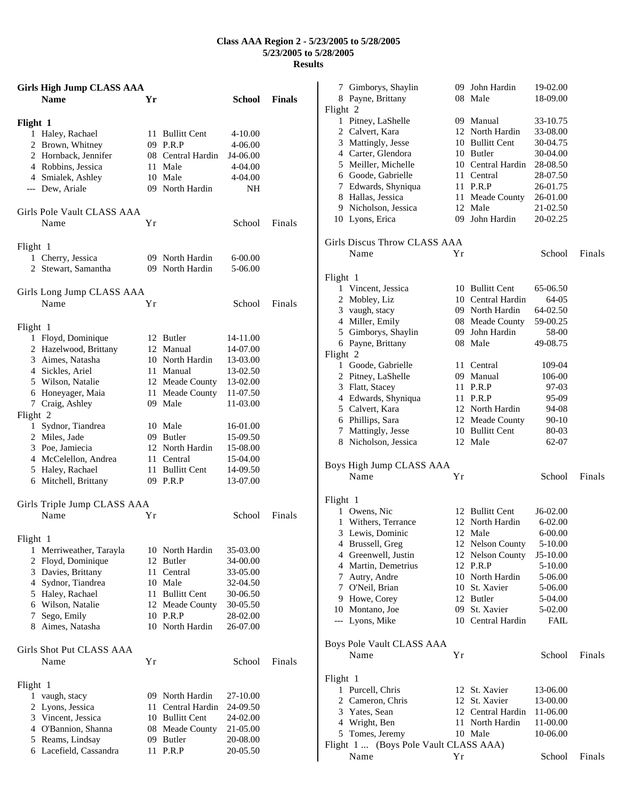## **Class AAA Region 2 - 5/23/2005 to 5/28/2005 5/23/2005 to 5/28/2005 Results**

| <b>Girls High Jump CLASS AAA</b> |    |                   |               |               |
|----------------------------------|----|-------------------|---------------|---------------|
| <b>Name</b>                      | Yr |                   | <b>School</b> | <b>Finals</b> |
|                                  |    |                   |               |               |
| Flight 1<br>1 Haley, Rachael     |    | 11 Bullitt Cent   | $4 - 10.00$   |               |
| 2 Brown, Whitney                 |    | 09 P.R.P          | 4-06.00       |               |
| 2 Hornback, Jennifer             |    | 08 Central Hardin | J4-06.00      |               |
| 4 Robbins, Jessica               |    | 11 Male           | 4-04.00       |               |
| 4 Smialek, Ashley                |    | 10 Male           | 4-04.00       |               |
| --- Dew, Ariale                  |    | 09 North Hardin   | NΗ            |               |
| Girls Pole Vault CLASS AAA       |    |                   |               |               |
| Name                             | Υr |                   | School        | Finals        |
| Flight 1                         |    |                   |               |               |
| 1 Cherry, Jessica                |    | 09 North Hardin   | $6 - 00.00$   |               |
| 2 Stewart, Samantha              |    | 09 North Hardin   | 5-06.00       |               |
| Girls Long Jump CLASS AAA        |    |                   |               |               |
| Name                             | Υr |                   | School        | Finals        |
| Flight 1                         |    |                   |               |               |
| 1 Floyd, Dominique               |    | 12 Butler         | 14-11.00      |               |
| 2 Hazelwood, Brittany            |    | 12 Manual         | 14-07.00      |               |
| 3 Aimes, Natasha                 |    | 10 North Hardin   | 13-03.00      |               |
| 4 Sickles, Ariel                 |    | 11 Manual         | 13-02.50      |               |
| 5 Wilson, Natalie                |    | 12 Meade County   | 13-02.00      |               |
| 6 Honeyager, Maia                |    | 11 Meade County   | 11-07.50      |               |
| 7 Craig, Ashley<br>Flight 2      |    | 09 Male           | 11-03.00      |               |
| 1 Sydnor, Tiandrea               |    | 10 Male           | 16-01.00      |               |
| 2 Miles, Jade                    |    | 09 Butler         | 15-09.50      |               |
| 3 Poe, Jamiecia                  |    | 12 North Hardin   | 15-08.00      |               |
| 4 McCelellon, Andrea             |    | 11 Central        | 15-04.00      |               |
| 5 Haley, Rachael                 |    | 11 Bullitt Cent   | 14-09.50      |               |
| 6 Mitchell, Brittany             |    | 09 P.R.P          | 13-07.00      |               |
| Girls Triple Jump CLASS AAA      |    |                   |               |               |
| Name                             | Υr |                   | School        | Finals        |
| Flight 1                         |    |                   |               |               |
| Merriweather, Tarayla<br>1       |    | 10 North Hardin   | 35-03.00      |               |
| 2 Floyd, Dominique               |    | 12 Butler         | 34-00.00      |               |
| 3 Davies, Brittany               |    | 11 Central        | 33-05.00      |               |
| 4 Sydnor, Tiandrea               |    | 10 Male           | 32-04.50      |               |
| 5 Haley, Rachael                 |    | 11 Bullitt Cent   | 30-06.50      |               |
| 6 Wilson, Natalie                |    | 12 Meade County   | 30-05.50      |               |
| Sego, Emily<br>7                 |    | 10 P.R.P          | 28-02.00      |               |
| 8 Aimes, Natasha                 |    | 10 North Hardin   | 26-07.00      |               |
| Girls Shot Put CLASS AAA         |    |                   |               |               |
| Name                             | Υr |                   | School        | Finals        |
| Flight 1                         |    |                   |               |               |
| vaugh, stacy<br>1                |    | 09 North Hardin   | 27-10.00      |               |
| 2 Lyons, Jessica                 |    | 11 Central Hardin | 24-09.50      |               |
| 3 Vincent, Jessica               |    | 10 Bullitt Cent   | 24-02.00      |               |
| 4 O'Bannion, Shanna              |    | 08 Meade County   | 21-05.00      |               |
| 5 Reams, Lindsay                 |    | 09 Butler         | 20-08.00      |               |
| 6 Lacefield, Cassandra           |    | 11 P.R.P          | 20-05.50      |               |

| 7 Gimborys, Shaylin                   |    | 09 John Hardin    | 19-02.00    |        |
|---------------------------------------|----|-------------------|-------------|--------|
| 8 Payne, Brittany                     |    | 08 Male           | 18-09.00    |        |
| Flight 2                              |    |                   |             |        |
| 1 Pitney, LaShelle                    |    | 09 Manual         | 33-10.75    |        |
| 2 Calvert, Kara                       |    | 12 North Hardin   | 33-08.00    |        |
| 3 Mattingly, Jesse                    |    | 10 Bullitt Cent   | 30-04.75    |        |
| 4 Carter, Glendora                    |    | 10 Butler         | 30-04.00    |        |
| 5 Meiller, Michelle                   |    | 10 Central Hardin | 28-08.50    |        |
| 6 Goode, Gabrielle                    |    | 11 Central        | 28-07.50    |        |
| 7 Edwards, Shyniqua                   |    | 11 P.R.P          | 26-01.75    |        |
| 8 Hallas, Jessica                     |    | 11 Meade County   | 26-01.00    |        |
| 9 Nicholson, Jessica                  |    | 12 Male           | 21-02.50    |        |
| 10 Lyons, Erica                       |    | 09 John Hardin    | 20-02.25    |        |
| Girls Discus Throw CLASS AAA          |    |                   |             |        |
| Name                                  | Υr |                   | School      | Finals |
|                                       |    |                   |             |        |
| Flight 1                              |    |                   |             |        |
| 1 Vincent, Jessica                    |    | 10 Bullitt Cent   | 65-06.50    |        |
| 2 Mobley, Liz                         |    | 10 Central Hardin | 64-05       |        |
|                                       |    |                   |             |        |
| 3 vaugh, stacy                        |    | 09 North Hardin   | 64-02.50    |        |
| 4 Miller, Emily                       |    | 08 Meade County   | 59-00.25    |        |
| 5 Gimborys, Shaylin                   |    | 09 John Hardin    | 58-00       |        |
| 6 Payne, Brittany                     |    | 08 Male           | 49-08.75    |        |
| Flight 2                              |    |                   |             |        |
| 1 Goode, Gabrielle                    |    | 11 Central        | 109-04      |        |
| 2 Pitney, LaShelle                    |    | 09 Manual         | 106-00      |        |
| 3 Flatt, Stacey                       |    | 11 P.R.P          | 97-03       |        |
| 4 Edwards, Shyniqua                   |    | 11 P.R.P          | 95-09       |        |
| 5 Calvert, Kara                       |    | 12 North Hardin   | 94-08       |        |
| 6 Phillips, Sara                      |    | 12 Meade County   | 90-10       |        |
| 7 Mattingly, Jesse                    |    | 10 Bullitt Cent   | 80-03       |        |
| 8 Nicholson, Jessica                  |    | 12 Male           | 62-07       |        |
| Boys High Jump CLASS AAA              |    |                   |             |        |
| Name                                  | Υr |                   | School      | Finals |
|                                       |    |                   |             |        |
| Flight 1                              |    |                   |             |        |
| 1 Owens, Nic                          |    | 12 Bullitt Cent   | $J6-02.00$  |        |
| 1<br>Withers, Terrance                |    | 12 North Hardin   | $6 - 02.00$ |        |
| 3 Lewis, Dominic                      |    | 12 Male           | $6 - 00.00$ |        |
| 4 Brussell, Greg                      |    | 12 Nelson County  | 5-10.00     |        |
| 4 Greenwell, Justin                   |    | 12 Nelson County  | J5-10.00    |        |
| 4 Martin, Demetrius                   |    | 12 P.R.P          | 5-10.00     |        |
| 7 Autry, Andre                        |    | 10 North Hardin   | 5-06.00     |        |
| 7 O'Neil, Brian                       |    | 10 St. Xavier     | 5-06.00     |        |
| 9 Howe, Corey                         |    | 12 Butler         | 5-04.00     |        |
| 10 Montano, Joe                       |    | 09 St. Xavier     | 5-02.00     |        |
| --- Lyons, Mike                       |    | 10 Central Hardin | FAIL        |        |
|                                       |    |                   |             |        |
| Boys Pole Vault CLASS AAA             |    |                   |             |        |
| Name                                  | Υr |                   | School      | Finals |
| Flight 1                              |    |                   |             |        |
| 1 Purcell, Chris                      |    | 12 St. Xavier     | 13-06.00    |        |
| 2 Cameron, Chris                      |    | 12 St. Xavier     | 13-00.00    |        |
| 3 Yates, Sean                         |    | 12 Central Hardin | 11-06.00    |        |
| 4 Wright, Ben                         |    | 11 North Hardin   | 11-00.00    |        |
| 5 Tomes, Jeremy                       |    | 10 Male           | 10-06.00    |        |
| Flight 1  (Boys Pole Vault CLASS AAA) |    |                   |             |        |
| Name                                  | Υr |                   | School      | Finals |